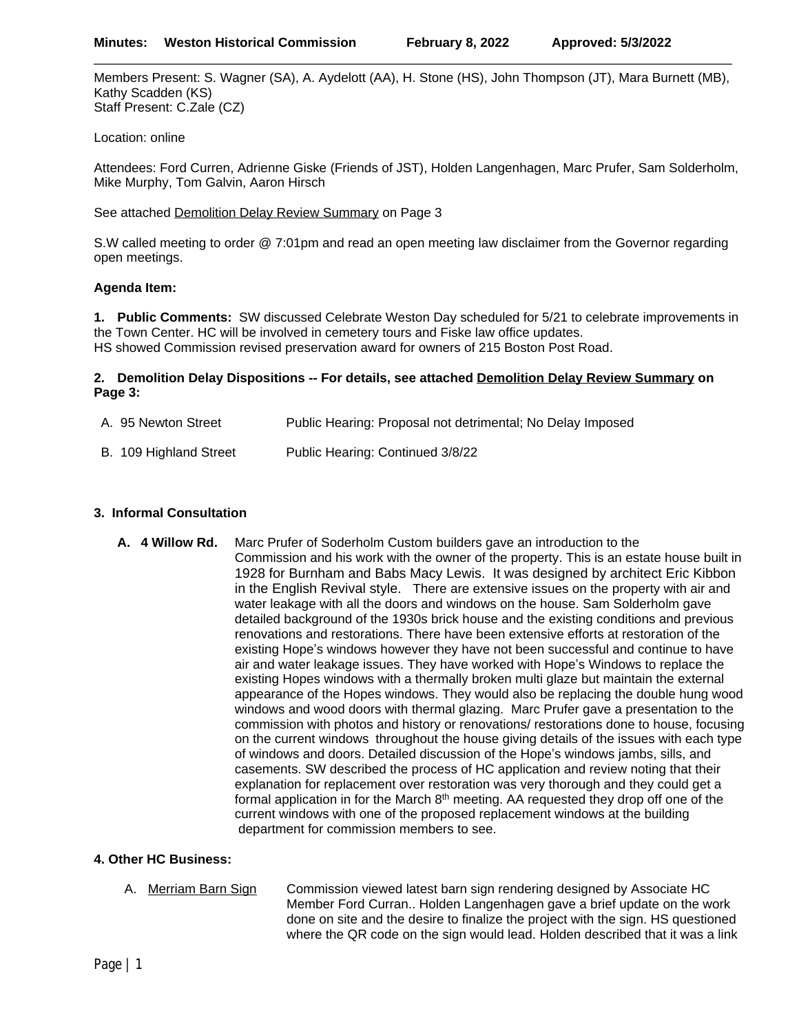Members Present: S. Wagner (SA), A. Aydelott (AA), H. Stone (HS), John Thompson (JT), Mara Burnett (MB), Kathy Scadden (KS) Staff Present: C.Zale (CZ)

\_\_\_\_\_\_\_\_\_\_\_\_\_\_\_\_\_\_\_\_\_\_\_\_\_\_\_\_\_\_\_\_\_\_\_\_\_\_\_\_\_\_\_\_\_\_\_\_\_\_\_\_\_\_\_\_\_\_\_\_\_\_\_\_\_\_\_\_\_\_\_\_\_\_\_\_\_\_\_\_\_\_\_\_\_\_\_\_

Location: online

Attendees: Ford Curren, Adrienne Giske (Friends of JST), Holden Langenhagen, Marc Prufer, Sam Solderholm, Mike Murphy, Tom Galvin, Aaron Hirsch

See attached Demolition Delay Review Summary on Page 3

S.W called meeting to order @ 7:01pm and read an open meeting law disclaimer from the Governor regarding open meetings.

## **Agenda Item:**

**1. Public Comments:** SW discussed Celebrate Weston Day scheduled for 5/21 to celebrate improvements in the Town Center. HC will be involved in cemetery tours and Fiske law office updates. HS showed Commission revised preservation award for owners of 215 Boston Post Road.

## **2. Demolition Delay Dispositions -- For details, see attached Demolition Delay Review Summary on Page 3:**

| A. 95 Newton Street    | Public Hearing: Proposal not detrimental; No Delay Imposed |
|------------------------|------------------------------------------------------------|
| B. 109 Highland Street | Public Hearing: Continued 3/8/22                           |

## **3. Informal Consultation**

**A. 4 Willow Rd.** Marc Prufer of Soderholm Custom builders gave an introduction to the Commission and his work with the owner of the property. This is an estate house built in 1928 for Burnham and Babs Macy Lewis. It was designed by architect Eric Kibbon in the English Revival style. There are extensive issues on the property with air and water leakage with all the doors and windows on the house. Sam Solderholm gave detailed background of the 1930s brick house and the existing conditions and previous renovations and restorations. There have been extensive efforts at restoration of the existing Hope's windows however they have not been successful and continue to have air and water leakage issues. They have worked with Hope's Windows to replace the existing Hopes windows with a thermally broken multi glaze but maintain the external appearance of the Hopes windows. They would also be replacing the double hung wood windows and wood doors with thermal glazing. Marc Prufer gave a presentation to the commission with photos and history or renovations/ restorations done to house, focusing on the current windows throughout the house giving details of the issues with each type of windows and doors. Detailed discussion of the Hope's windows jambs, sills, and casements. SW described the process of HC application and review noting that their explanation for replacement over restoration was very thorough and they could get a formal application in for the March  $8<sup>th</sup>$  meeting. AA requested they drop off one of the current windows with one of the proposed replacement windows at the building department for commission members to see.

## **4. Other HC Business:**

A. Merriam Barn Sign Commission viewed latest barn sign rendering designed by Associate HC Member Ford Curran.. Holden Langenhagen gave a brief update on the work done on site and the desire to finalize the project with the sign. HS questioned where the QR code on the sign would lead. Holden described that it was a link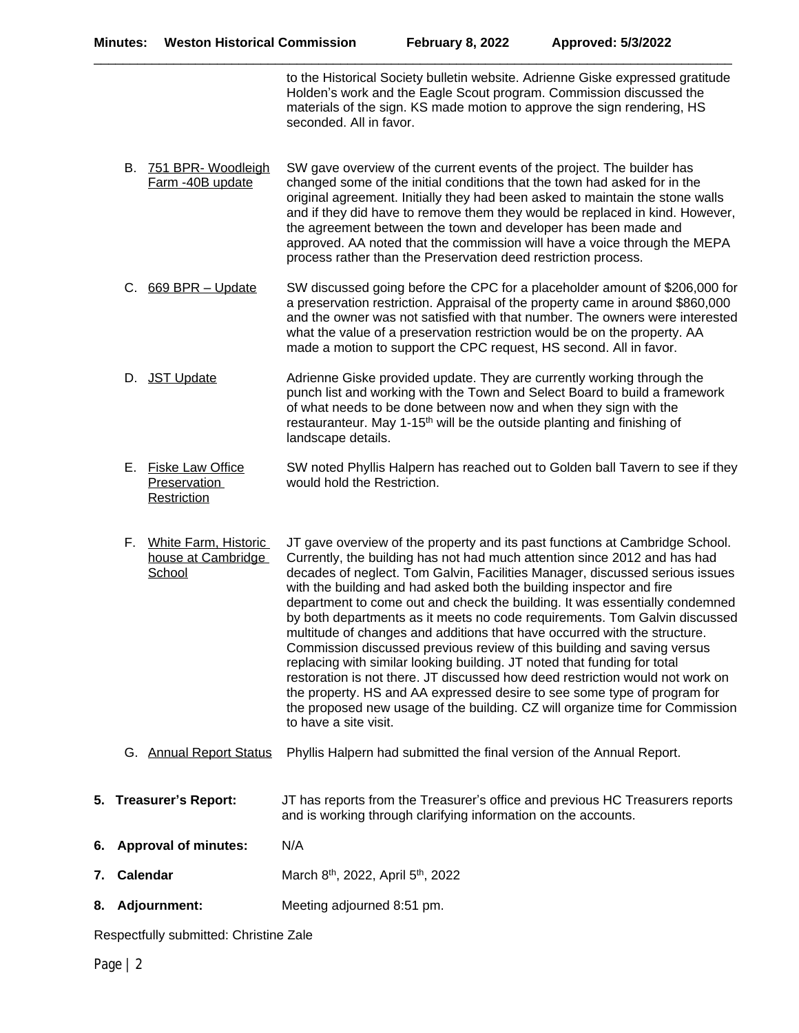\_\_\_\_\_\_\_\_\_\_\_\_\_\_\_\_\_\_\_\_\_\_\_\_\_\_\_\_\_\_\_\_\_\_\_\_\_\_\_\_\_\_\_\_\_\_\_\_\_\_\_\_\_\_\_\_\_\_\_\_\_\_\_\_\_\_\_\_\_\_\_\_\_\_\_\_\_\_\_\_\_\_\_\_\_\_\_\_

to the Historical Society bulletin website. Adrienne Giske expressed gratitude Holden's work and the Eagle Scout program. Commission discussed the materials of the sign. KS made motion to approve the sign rendering, HS seconded. All in favor.

- B. 751 BPR- Woodleigh Farm -40B update SW gave overview of the current events of the project. The builder has changed some of the initial conditions that the town had asked for in the original agreement. Initially they had been asked to maintain the stone walls and if they did have to remove them they would be replaced in kind. However, the agreement between the town and developer has been made and approved. AA noted that the commission will have a voice through the MEPA process rather than the Preservation deed restriction process.
- C. 669 BPR Update SW discussed going before the CPC for a placeholder amount of \$206,000 for a preservation restriction. Appraisal of the property came in around \$860,000 and the owner was not satisfied with that number. The owners were interested what the value of a preservation restriction would be on the property. AA made a motion to support the CPC request, HS second. All in favor.
- D. JST Update Adrienne Giske provided update. They are currently working through the punch list and working with the Town and Select Board to build a framework of what needs to be done between now and when they sign with the restauranteur. May 1-15<sup>th</sup> will be the outside planting and finishing of landscape details.
- E. Fiske Law Office Preservation **Restriction** SW noted Phyllis Halpern has reached out to Golden ball Tavern to see if they would hold the Restriction.
- F. White Farm, Historic house at Cambridge **School** JT gave overview of the property and its past functions at Cambridge School. Currently, the building has not had much attention since 2012 and has had decades of neglect. Tom Galvin, Facilities Manager, discussed serious issues with the building and had asked both the building inspector and fire department to come out and check the building. It was essentially condemned by both departments as it meets no code requirements. Tom Galvin discussed multitude of changes and additions that have occurred with the structure. Commission discussed previous review of this building and saving versus replacing with similar looking building. JT noted that funding for total restoration is not there. JT discussed how deed restriction would not work on the property. HS and AA expressed desire to see some type of program for the proposed new usage of the building. CZ will organize time for Commission to have a site visit.
- G. Annual Report Status Phyllis Halpern had submitted the final version of the Annual Report.
- **5. Treasurer's Report:** JT has reports from the Treasurer's office and previous HC Treasurers reports and is working through clarifying information on the accounts.
- **6. Approval of minutes:** N/A
- **7. Calendar** March 8<sup>th</sup>, 2022, April 5<sup>th</sup>, 2022
- **8. Adjournment:** Meeting adjourned 8:51 pm.

Respectfully submitted: Christine Zale